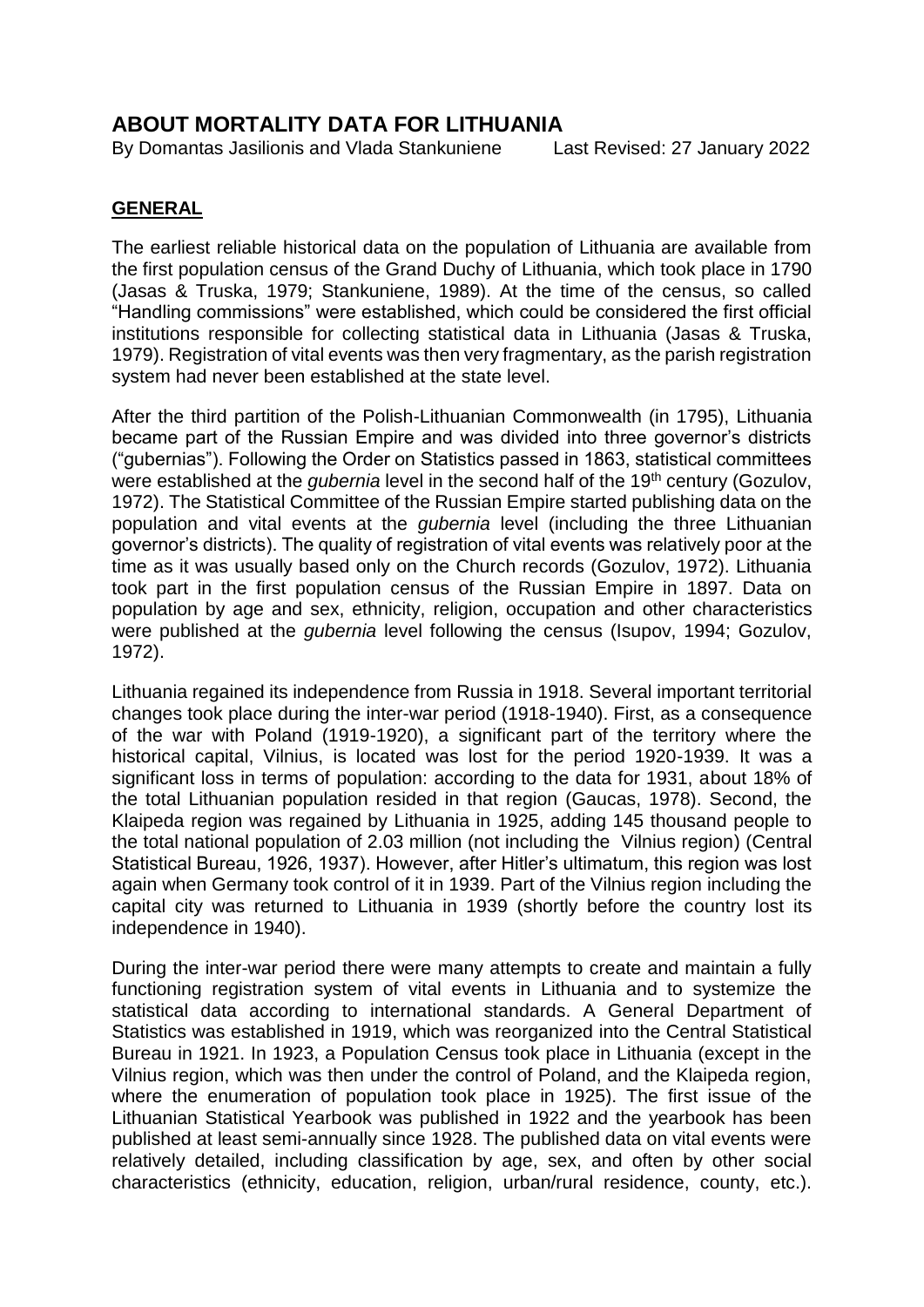# **ABOUT MORTALITY DATA FOR LITHUANIA**

By Domantas Jasilionis and Vlada Stankuniene Last Revised: 27 January 2022

#### **GENERAL**

The earliest reliable historical data on the population of Lithuania are available from the first population census of the Grand Duchy of Lithuania, which took place in 1790 (Jasas & Truska, 1979; Stankuniene, 1989). At the time of the census, so called "Handling commissions" were established, which could be considered the first official institutions responsible for collecting statistical data in Lithuania (Jasas & Truska, 1979). Registration of vital events was then very fragmentary, as the parish registration system had never been established at the state level.

After the third partition of the Polish-Lithuanian Commonwealth (in 1795), Lithuania became part of the Russian Empire and was divided into three governor's districts ("gubernias"). Following the Order on Statistics passed in 1863, statistical committees were established at the *gubernia* level in the second half of the 19<sup>th</sup> century (Gozulov, 1972). The Statistical Committee of the Russian Empire started publishing data on the population and vital events at the *gubernia* level (including the three Lithuanian governor's districts). The quality of registration of vital events was relatively poor at the time as it was usually based only on the Church records (Gozulov, 1972). Lithuania took part in the first population census of the Russian Empire in 1897. Data on population by age and sex, ethnicity, religion, occupation and other characteristics were published at the *gubernia* level following the census (Isupov, 1994; Gozulov, 1972).

Lithuania regained its independence from Russia in 1918. Several important territorial changes took place during the inter-war period (1918-1940). First, as a consequence of the war with Poland (1919-1920), a significant part of the territory where the historical capital, Vilnius, is located was lost for the period 1920-1939. It was a significant loss in terms of population: according to the data for 1931, about 18% of the total Lithuanian population resided in that region (Gaucas, 1978). Second, the Klaipeda region was regained by Lithuania in 1925, adding 145 thousand people to the total national population of 2.03 million (not including the Vilnius region) (Central Statistical Bureau, 1926, 1937). However, after Hitler's ultimatum, this region was lost again when Germany took control of it in 1939. Part of the Vilnius region including the capital city was returned to Lithuania in 1939 (shortly before the country lost its independence in 1940).

During the inter-war period there were many attempts to create and maintain a fully functioning registration system of vital events in Lithuania and to systemize the statistical data according to international standards. A General Department of Statistics was established in 1919, which was reorganized into the Central Statistical Bureau in 1921. In 1923, a Population Census took place in Lithuania (except in the Vilnius region, which was then under the control of Poland, and the Klaipeda region, where the enumeration of population took place in 1925). The first issue of the Lithuanian Statistical Yearbook was published in 1922 and the yearbook has been published at least semi-annually since 1928. The published data on vital events were relatively detailed, including classification by age, sex, and often by other social characteristics (ethnicity, education, religion, urban/rural residence, county, etc.).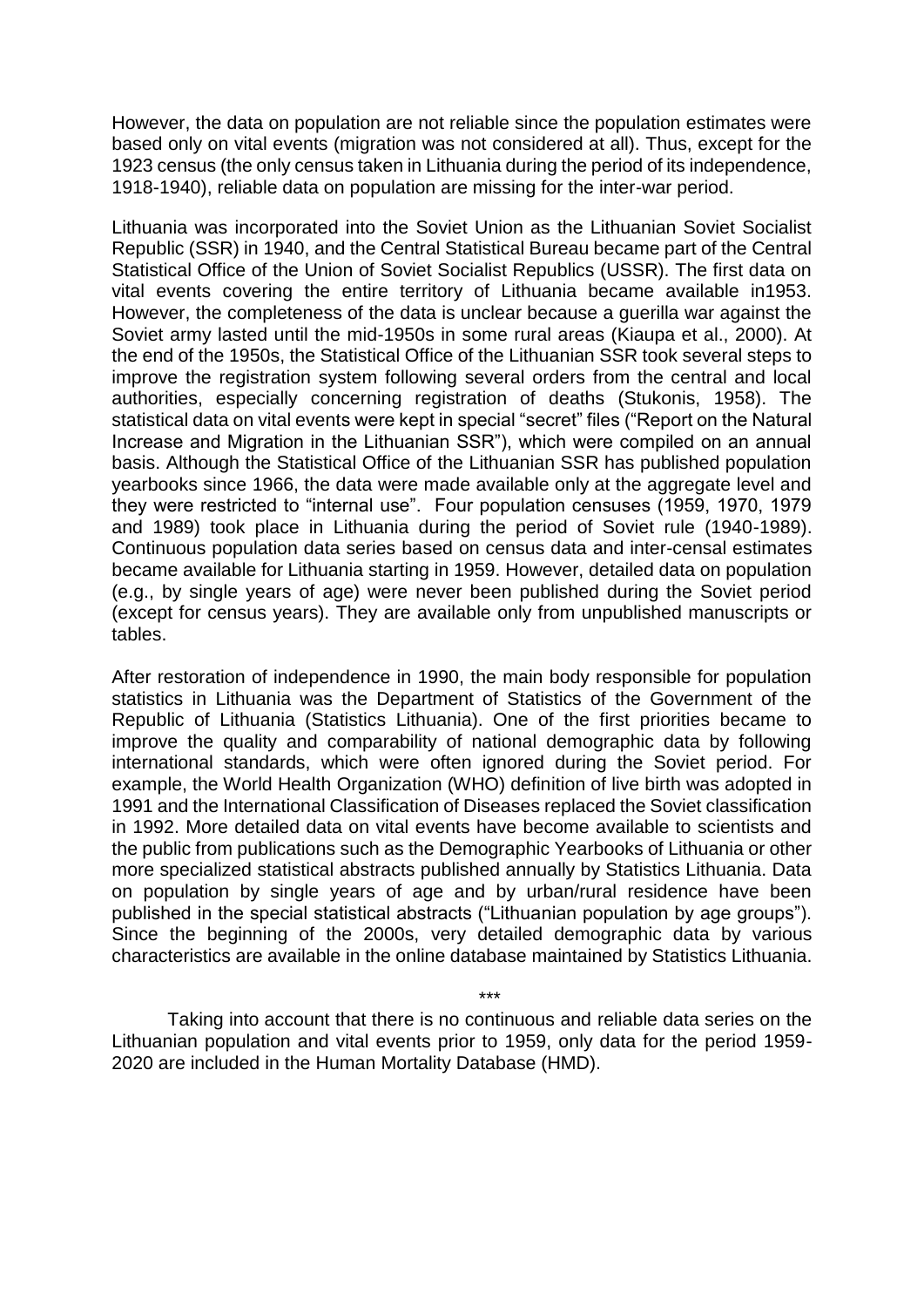However, the data on population are not reliable since the population estimates were based only on vital events (migration was not considered at all). Thus, except for the 1923 census (the only census taken in Lithuania during the period of its independence, 1918-1940), reliable data on population are missing for the inter-war period.

Lithuania was incorporated into the Soviet Union as the Lithuanian Soviet Socialist Republic (SSR) in 1940, and the Central Statistical Bureau became part of the Central Statistical Office of the Union of Soviet Socialist Republics (USSR). The first data on vital events covering the entire territory of Lithuania became available in1953. However, the completeness of the data is unclear because a guerilla war against the Soviet army lasted until the mid-1950s in some rural areas (Kiaupa et al., 2000). At the end of the 1950s, the Statistical Office of the Lithuanian SSR took several steps to improve the registration system following several orders from the central and local authorities, especially concerning registration of deaths (Stukonis, 1958). The statistical data on vital events were kept in special "secret" files ("Report on the Natural Increase and Migration in the Lithuanian SSR"), which were compiled on an annual basis. Although the Statistical Office of the Lithuanian SSR has published population yearbooks since 1966, the data were made available only at the aggregate level and they were restricted to "internal use". Four population censuses (1959, 1970, 1979 and 1989) took place in Lithuania during the period of Soviet rule (1940-1989). Continuous population data series based on census data and inter-censal estimates became available for Lithuania starting in 1959. However, detailed data on population (e.g., by single years of age) were never been published during the Soviet period (except for census years). They are available only from unpublished manuscripts or tables.

After restoration of independence in 1990, the main body responsible for population statistics in Lithuania was the Department of Statistics of the Government of the Republic of Lithuania (Statistics Lithuania). One of the first priorities became to improve the quality and comparability of national demographic data by following international standards, which were often ignored during the Soviet period. For example, the World Health Organization (WHO) definition of live birth was adopted in 1991 and the International Classification of Diseases replaced the Soviet classification in 1992. More detailed data on vital events have become available to scientists and the public from publications such as the Demographic Yearbooks of Lithuania or other more specialized statistical abstracts published annually by Statistics Lithuania. Data on population by single years of age and by urban/rural residence have been published in the special statistical abstracts ("Lithuanian population by age groups"). Since the beginning of the 2000s, very detailed demographic data by various characteristics are available in the online database maintained by Statistics Lithuania.

Taking into account that there is no continuous and reliable data series on the Lithuanian population and vital events prior to 1959, only data for the period 1959- 2020 are included in the Human Mortality Database (HMD).

\*\*\*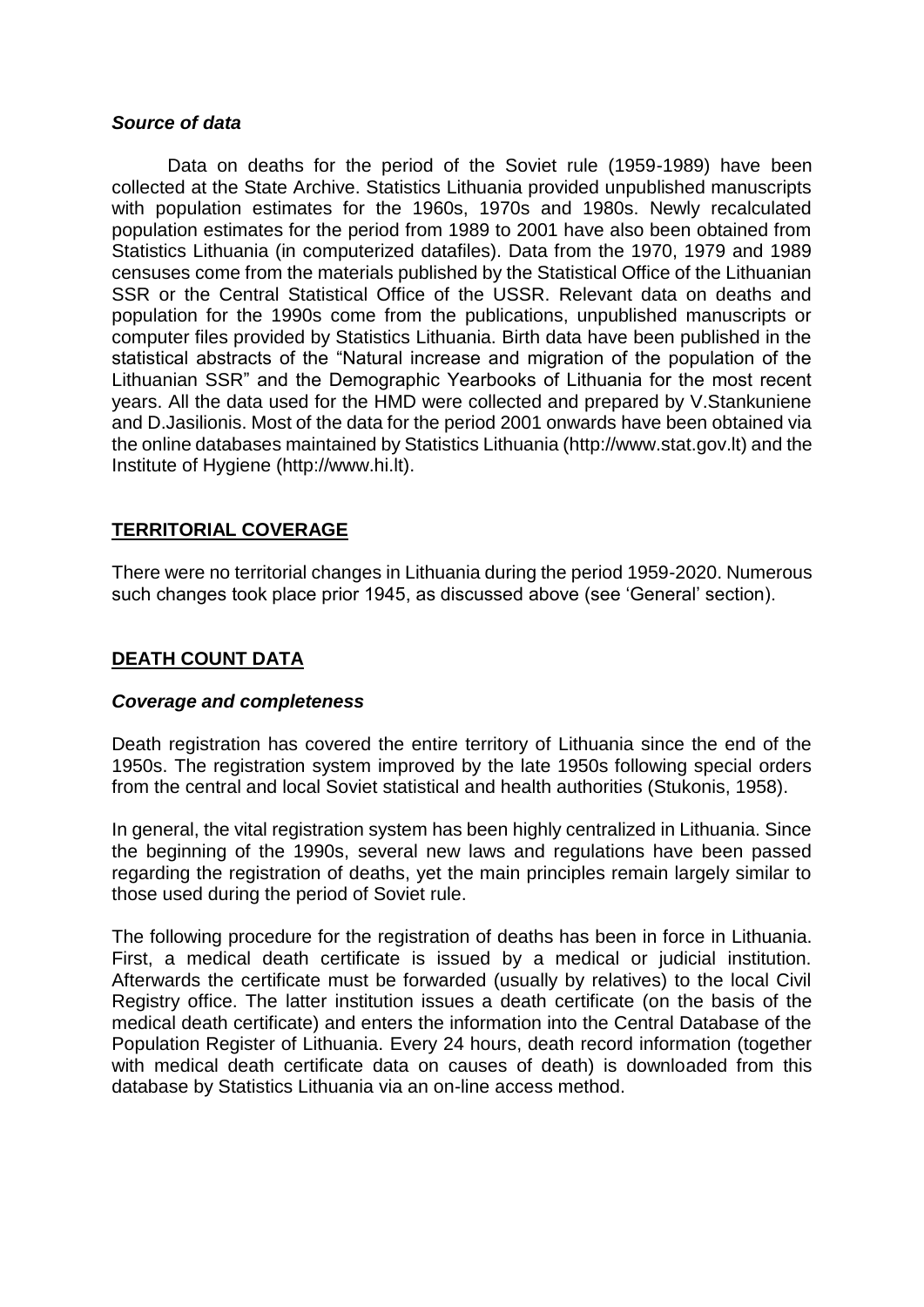#### *Source of data*

Data on deaths for the period of the Soviet rule (1959-1989) have been collected at the State Archive. Statistics Lithuania provided unpublished manuscripts with population estimates for the 1960s, 1970s and 1980s. Newly recalculated population estimates for the period from 1989 to 2001 have also been obtained from Statistics Lithuania (in computerized datafiles). Data from the 1970, 1979 and 1989 censuses come from the materials published by the Statistical Office of the Lithuanian SSR or the Central Statistical Office of the USSR. Relevant data on deaths and population for the 1990s come from the publications, unpublished manuscripts or computer files provided by Statistics Lithuania. Birth data have been published in the statistical abstracts of the "Natural increase and migration of the population of the Lithuanian SSR" and the Demographic Yearbooks of Lithuania for the most recent years. All the data used for the HMD were collected and prepared by V.Stankuniene and D.Jasilionis. Most of the data for the period 2001 onwards have been obtained via the online databases maintained by Statistics Lithuania (http://www.stat.gov.lt) and the Institute of Hygiene (http://www.hi.lt).

#### **TERRITORIAL COVERAGE**

There were no territorial changes in Lithuania during the period 1959-2020. Numerous such changes took place prior 1945, as discussed above (see 'General' section).

#### **DEATH COUNT DATA**

#### *Coverage and completeness*

Death registration has covered the entire territory of Lithuania since the end of the 1950s. The registration system improved by the late 1950s following special orders from the central and local Soviet statistical and health authorities (Stukonis, 1958).

In general, the vital registration system has been highly centralized in Lithuania. Since the beginning of the 1990s, several new laws and regulations have been passed regarding the registration of deaths, yet the main principles remain largely similar to those used during the period of Soviet rule.

The following procedure for the registration of deaths has been in force in Lithuania. First, a medical death certificate is issued by a medical or judicial institution. Afterwards the certificate must be forwarded (usually by relatives) to the local Civil Registry office. The latter institution issues a death certificate (on the basis of the medical death certificate) and enters the information into the Central Database of the Population Register of Lithuania. Every 24 hours, death record information (together with medical death certificate data on causes of death) is downloaded from this database by Statistics Lithuania via an on-line access method.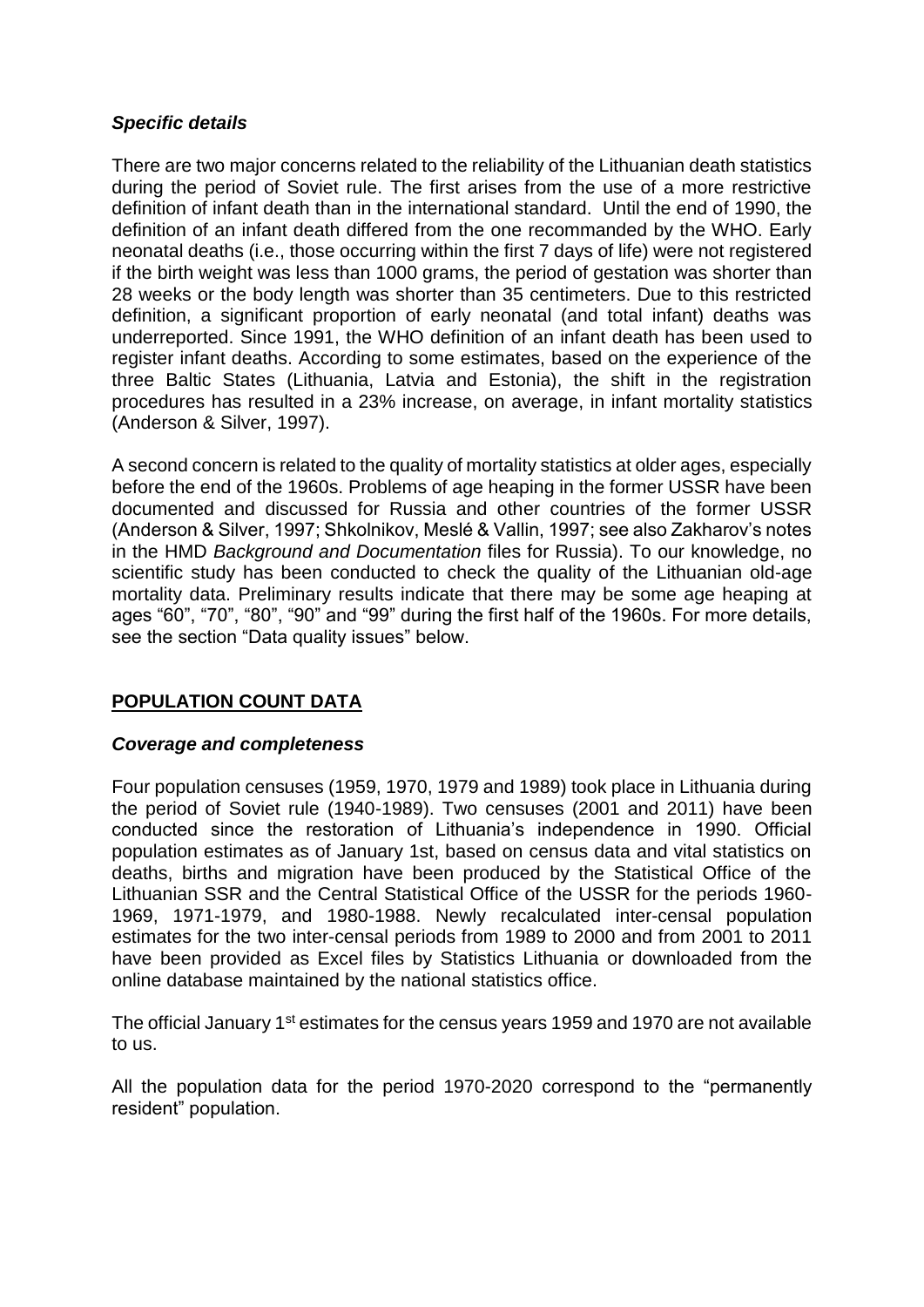#### *Specific details*

There are two major concerns related to the reliability of the Lithuanian death statistics during the period of Soviet rule. The first arises from the use of a more restrictive definition of infant death than in the international standard. Until the end of 1990, the definition of an infant death differed from the one recommanded by the WHO. Early neonatal deaths (i.e., those occurring within the first 7 days of life) were not registered if the birth weight was less than 1000 grams, the period of gestation was shorter than 28 weeks or the body length was shorter than 35 centimeters. Due to this restricted definition, a significant proportion of early neonatal (and total infant) deaths was underreported. Since 1991, the WHO definition of an infant death has been used to register infant deaths. According to some estimates, based on the experience of the three Baltic States (Lithuania, Latvia and Estonia), the shift in the registration procedures has resulted in a 23% increase, on average, in infant mortality statistics (Anderson & Silver, 1997).

A second concern is related to the quality of mortality statistics at older ages, especially before the end of the 1960s. Problems of age heaping in the former USSR have been documented and discussed for Russia and other countries of the former USSR (Anderson & Silver, 1997; Shkolnikov, Meslé & Vallin, 1997; see also Zakharov's notes in the HMD *Background and Documentation* files for Russia). To our knowledge, no scientific study has been conducted to check the quality of the Lithuanian old-age mortality data. Preliminary results indicate that there may be some age heaping at ages "60", "70", "80", "90" and "99" during the first half of the 1960s. For more details, see the section "Data quality issues" below.

#### **POPULATION COUNT DATA**

#### *Coverage and completeness*

Four population censuses (1959, 1970, 1979 and 1989) took place in Lithuania during the period of Soviet rule (1940-1989). Two censuses (2001 and 2011) have been conducted since the restoration of Lithuania's independence in 1990. Official population estimates as of January 1st, based on census data and vital statistics on deaths, births and migration have been produced by the Statistical Office of the Lithuanian SSR and the Central Statistical Office of the USSR for the periods 1960- 1969, 1971-1979, and 1980-1988. Newly recalculated inter-censal population estimates for the two inter-censal periods from 1989 to 2000 and from 2001 to 2011 have been provided as Excel files by Statistics Lithuania or downloaded from the online database maintained by the national statistics office.

The official January 1<sup>st</sup> estimates for the census years 1959 and 1970 are not available to us.

All the population data for the period 1970-2020 correspond to the "permanently resident" population.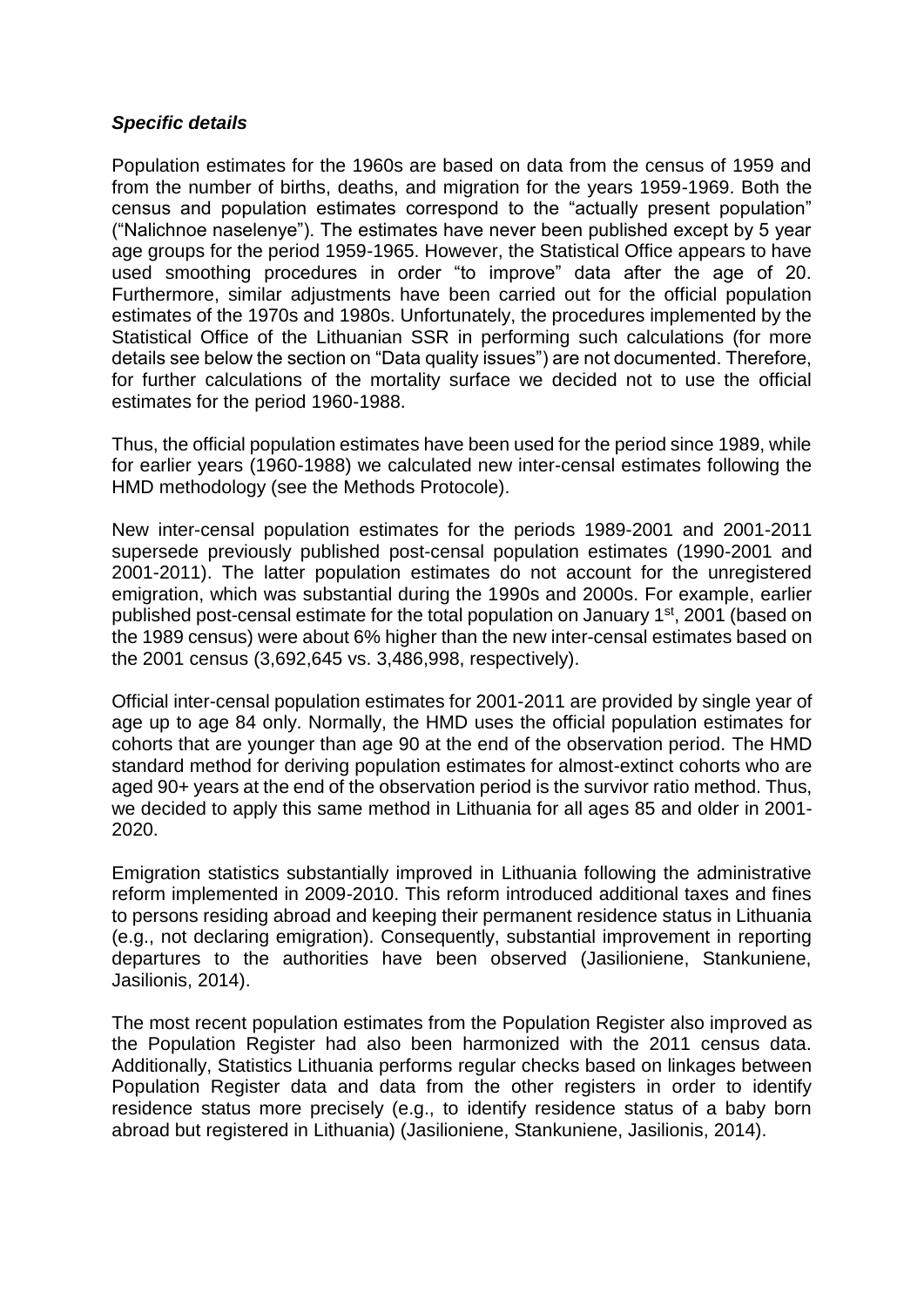#### *Specific details*

Population estimates for the 1960s are based on data from the census of 1959 and from the number of births, deaths, and migration for the years 1959-1969. Both the census and population estimates correspond to the "actually present population" ("Nalichnoe naselenye"). The estimates have never been published except by 5 year age groups for the period 1959-1965. However, the Statistical Office appears to have used smoothing procedures in order "to improve" data after the age of 20. Furthermore, similar adjustments have been carried out for the official population estimates of the 1970s and 1980s. Unfortunately, the procedures implemented by the Statistical Office of the Lithuanian SSR in performing such calculations (for more details see below the section on "Data quality issues") are not documented. Therefore, for further calculations of the mortality surface we decided not to use the official estimates for the period 1960-1988.

Thus, the official population estimates have been used for the period since 1989, while for earlier years (1960-1988) we calculated new inter-censal estimates following the HMD methodology (see the Methods Protocole).

New inter-censal population estimates for the periods 1989-2001 and 2001-2011 supersede previously published post-censal population estimates (1990-2001 and 2001-2011). The latter population estimates do not account for the unregistered emigration, which was substantial during the 1990s and 2000s. For example, earlier published post-censal estimate for the total population on January 1st, 2001 (based on the 1989 census) were about 6% higher than the new inter-censal estimates based on the 2001 census (3,692,645 vs. 3,486,998, respectively).

Official inter-censal population estimates for 2001-2011 are provided by single year of age up to age 84 only. Normally, the HMD uses the official population estimates for cohorts that are younger than age 90 at the end of the observation period. The HMD standard method for deriving population estimates for almost-extinct cohorts who are aged 90+ years at the end of the observation period is the survivor ratio method. Thus, we decided to apply this same method in Lithuania for all ages 85 and older in 2001- 2020.

Emigration statistics substantially improved in Lithuania following the administrative reform implemented in 2009-2010. This reform introduced additional taxes and fines to persons residing abroad and keeping their permanent residence status in Lithuania (e.g., not declaring emigration). Consequently, substantial improvement in reporting departures to the authorities have been observed (Jasilioniene, Stankuniene, Jasilionis, 2014).

The most recent population estimates from the Population Register also improved as the Population Register had also been harmonized with the 2011 census data. Additionally, Statistics Lithuania performs regular checks based on linkages between Population Register data and data from the other registers in order to identify residence status more precisely (e.g., to identify residence status of a baby born abroad but registered in Lithuania) (Jasilioniene, Stankuniene, Jasilionis, 2014).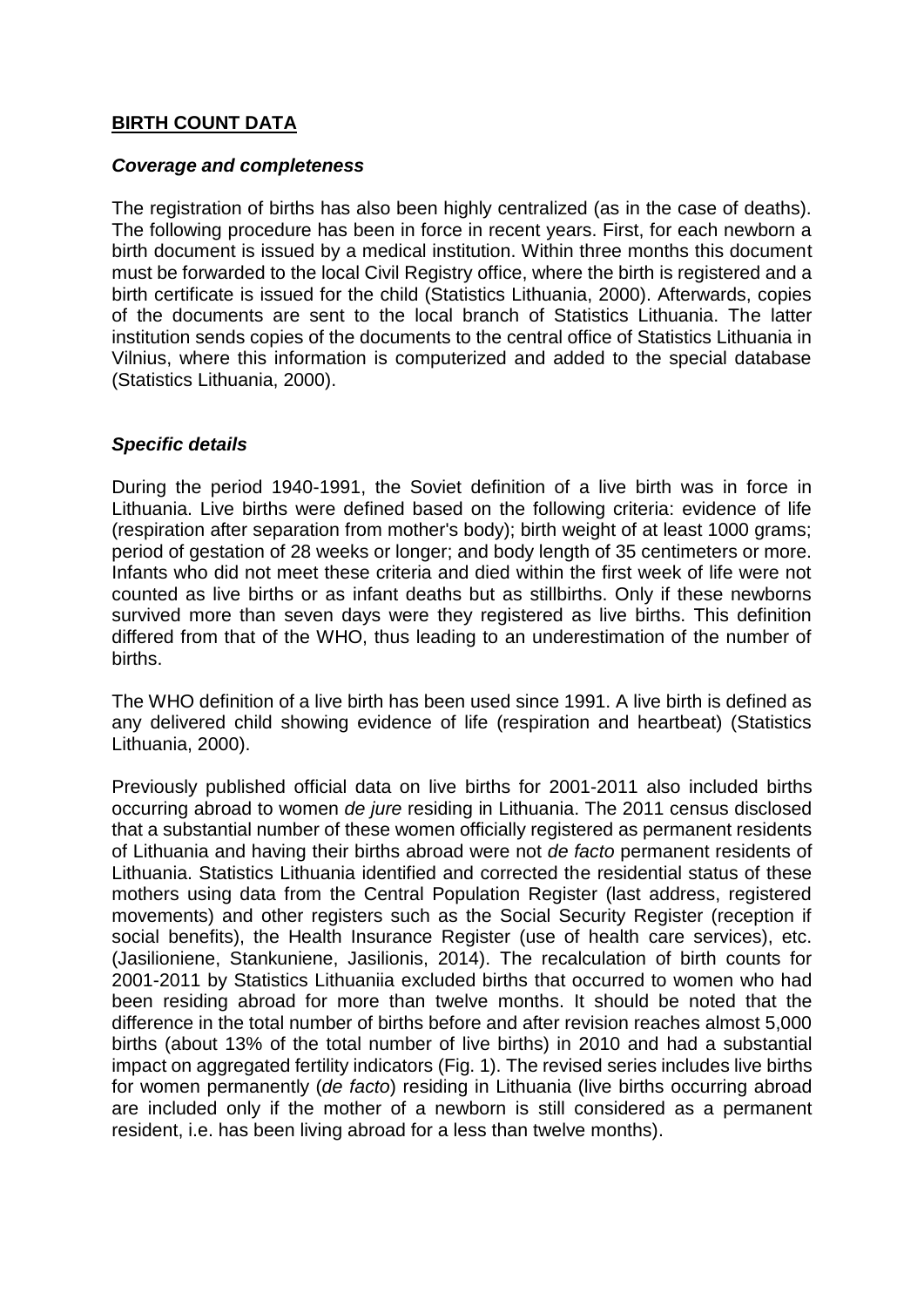#### **BIRTH COUNT DATA**

#### *Coverage and completeness*

The registration of births has also been highly centralized (as in the case of deaths). The following procedure has been in force in recent years. First, for each newborn a birth document is issued by a medical institution. Within three months this document must be forwarded to the local Civil Registry office, where the birth is registered and a birth certificate is issued for the child (Statistics Lithuania, 2000). Afterwards, copies of the documents are sent to the local branch of Statistics Lithuania. The latter institution sends copies of the documents to the central office of Statistics Lithuania in Vilnius, where this information is computerized and added to the special database (Statistics Lithuania, 2000).

#### *Specific details*

During the period 1940-1991, the Soviet definition of a live birth was in force in Lithuania. Live births were defined based on the following criteria: evidence of life (respiration after separation from mother's body); birth weight of at least 1000 grams; period of gestation of 28 weeks or longer; and body length of 35 centimeters or more. Infants who did not meet these criteria and died within the first week of life were not counted as live births or as infant deaths but as stillbirths. Only if these newborns survived more than seven days were they registered as live births. This definition differed from that of the WHO, thus leading to an underestimation of the number of births.

The WHO definition of a live birth has been used since 1991. A live birth is defined as any delivered child showing evidence of life (respiration and heartbeat) (Statistics Lithuania, 2000).

Previously published official data on live births for 2001-2011 also included births occurring abroad to women *de jure* residing in Lithuania. The 2011 census disclosed that a substantial number of these women officially registered as permanent residents of Lithuania and having their births abroad were not *de facto* permanent residents of Lithuania. Statistics Lithuania identified and corrected the residential status of these mothers using data from the Central Population Register (last address, registered movements) and other registers such as the Social Security Register (reception if social benefits), the Health Insurance Register (use of health care services), etc. (Jasilioniene, Stankuniene, Jasilionis, 2014). The recalculation of birth counts for 2001-2011 by Statistics Lithuaniia excluded births that occurred to women who had been residing abroad for more than twelve months. It should be noted that the difference in the total number of births before and after revision reaches almost 5,000 births (about 13% of the total number of live births) in 2010 and had a substantial impact on aggregated fertility indicators (Fig. 1). The revised series includes live births for women permanently (*de facto*) residing in Lithuania (live births occurring abroad are included only if the mother of a newborn is still considered as a permanent resident, i.e. has been living abroad for a less than twelve months).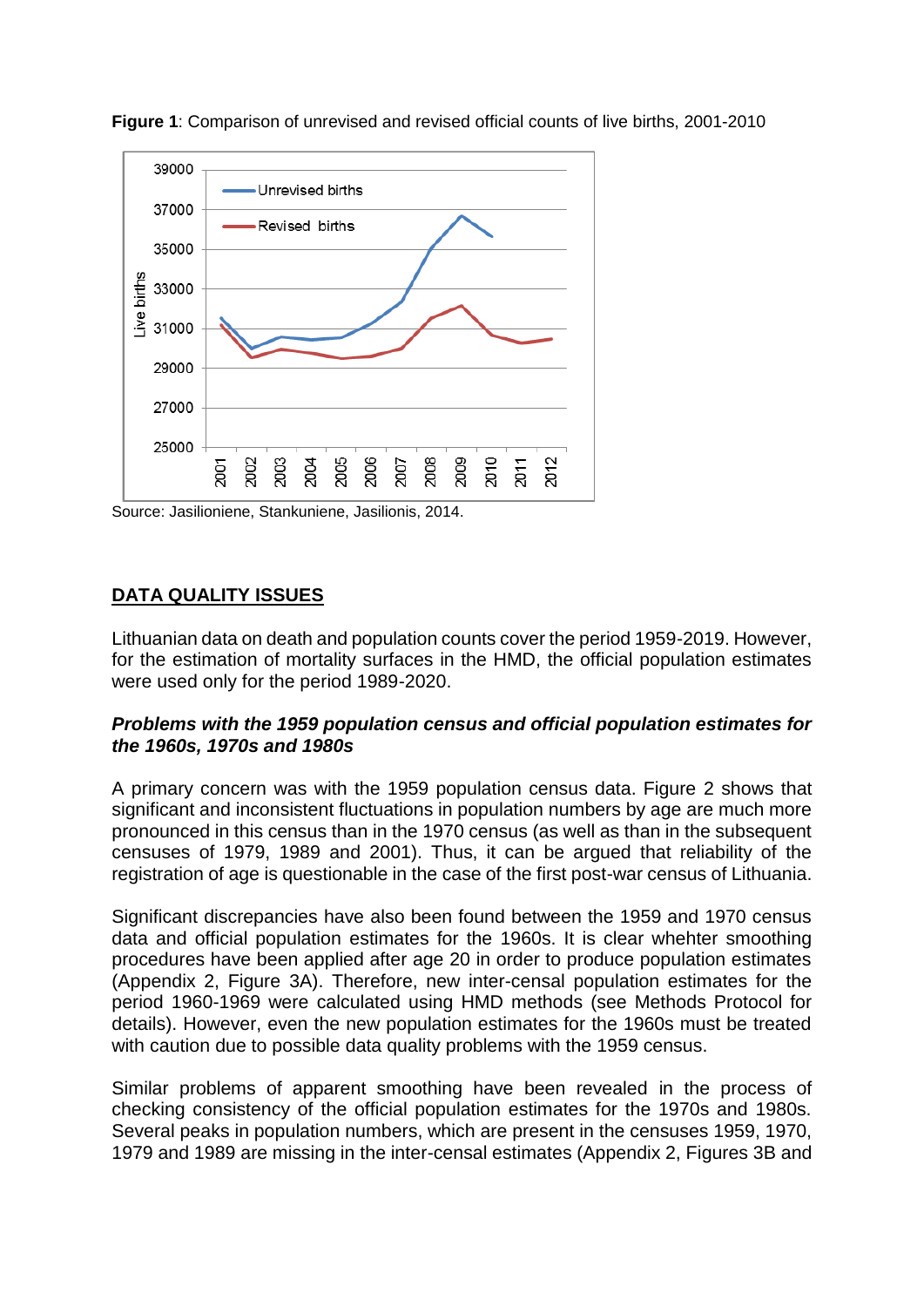

**Figure 1**: Comparison of unrevised and revised official counts of live births, 2001-2010

Source: Jasilioniene, Stankuniene, Jasilionis, 2014.

#### **DATA QUALITY ISSUES**

Lithuanian data on death and population counts cover the period 1959-2019. However, for the estimation of mortality surfaces in the HMD, the official population estimates were used only for the period 1989-2020.

#### *Problems with the 1959 population census and official population estimates for the 1960s, 1970s and 1980s*

A primary concern was with the 1959 population census data. Figure 2 shows that significant and inconsistent fluctuations in population numbers by age are much more pronounced in this census than in the 1970 census (as well as than in the subsequent censuses of 1979, 1989 and 2001). Thus, it can be argued that reliability of the registration of age is questionable in the case of the first post-war census of Lithuania.

Significant discrepancies have also been found between the 1959 and 1970 census data and official population estimates for the 1960s. It is clear whehter smoothing procedures have been applied after age 20 in order to produce population estimates (Appendix 2, Figure 3A). Therefore, new inter-censal population estimates for the period 1960-1969 were calculated using HMD methods (see Methods Protocol for details). However, even the new population estimates for the 1960s must be treated with caution due to possible data quality problems with the 1959 census.

Similar problems of apparent smoothing have been revealed in the process of checking consistency of the official population estimates for the 1970s and 1980s. Several peaks in population numbers, which are present in the censuses 1959, 1970, 1979 and 1989 are missing in the inter-censal estimates (Appendix 2, Figures 3B and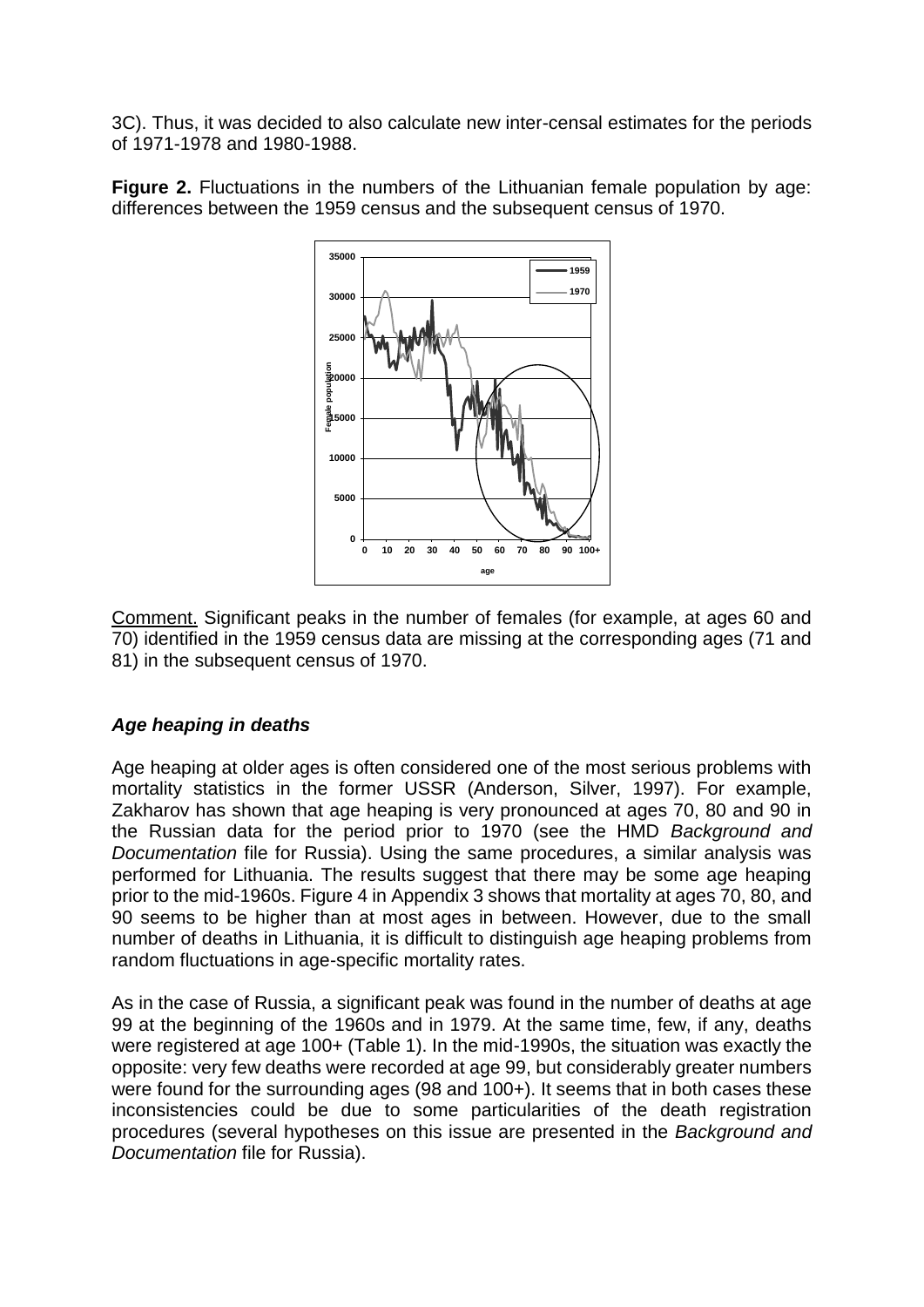3C). Thus, it was decided to also calculate new inter-censal estimates for the periods of 1971-1978 and 1980-1988.

**Figure 2.** Fluctuations in the numbers of the Lithuanian female population by age: differences between the 1959 census and the subsequent census of 1970.



Comment. Significant peaks in the number of females (for example, at ages 60 and 70) identified in the 1959 census data are missing at the corresponding ages (71 and 81) in the subsequent census of 1970.

#### *Age heaping in deaths*

Age heaping at older ages is often considered one of the most serious problems with mortality statistics in the former USSR (Anderson, Silver, 1997). For example, Zakharov has shown that age heaping is very pronounced at ages 70, 80 and 90 in the Russian data for the period prior to 1970 (see the HMD *Background and Documentation* file for Russia). Using the same procedures, a similar analysis was performed for Lithuania. The results suggest that there may be some age heaping prior to the mid-1960s. Figure 4 in Appendix 3 shows that mortality at ages 70, 80, and 90 seems to be higher than at most ages in between. However, due to the small number of deaths in Lithuania, it is difficult to distinguish age heaping problems from random fluctuations in age-specific mortality rates.

As in the case of Russia, a significant peak was found in the number of deaths at age 99 at the beginning of the 1960s and in 1979. At the same time, few, if any, deaths were registered at age 100+ (Table 1). In the mid-1990s, the situation was exactly the opposite: very few deaths were recorded at age 99, but considerably greater numbers were found for the surrounding ages (98 and 100+). It seems that in both cases these inconsistencies could be due to some particularities of the death registration procedures (several hypotheses on this issue are presented in the *Background and Documentation* file for Russia).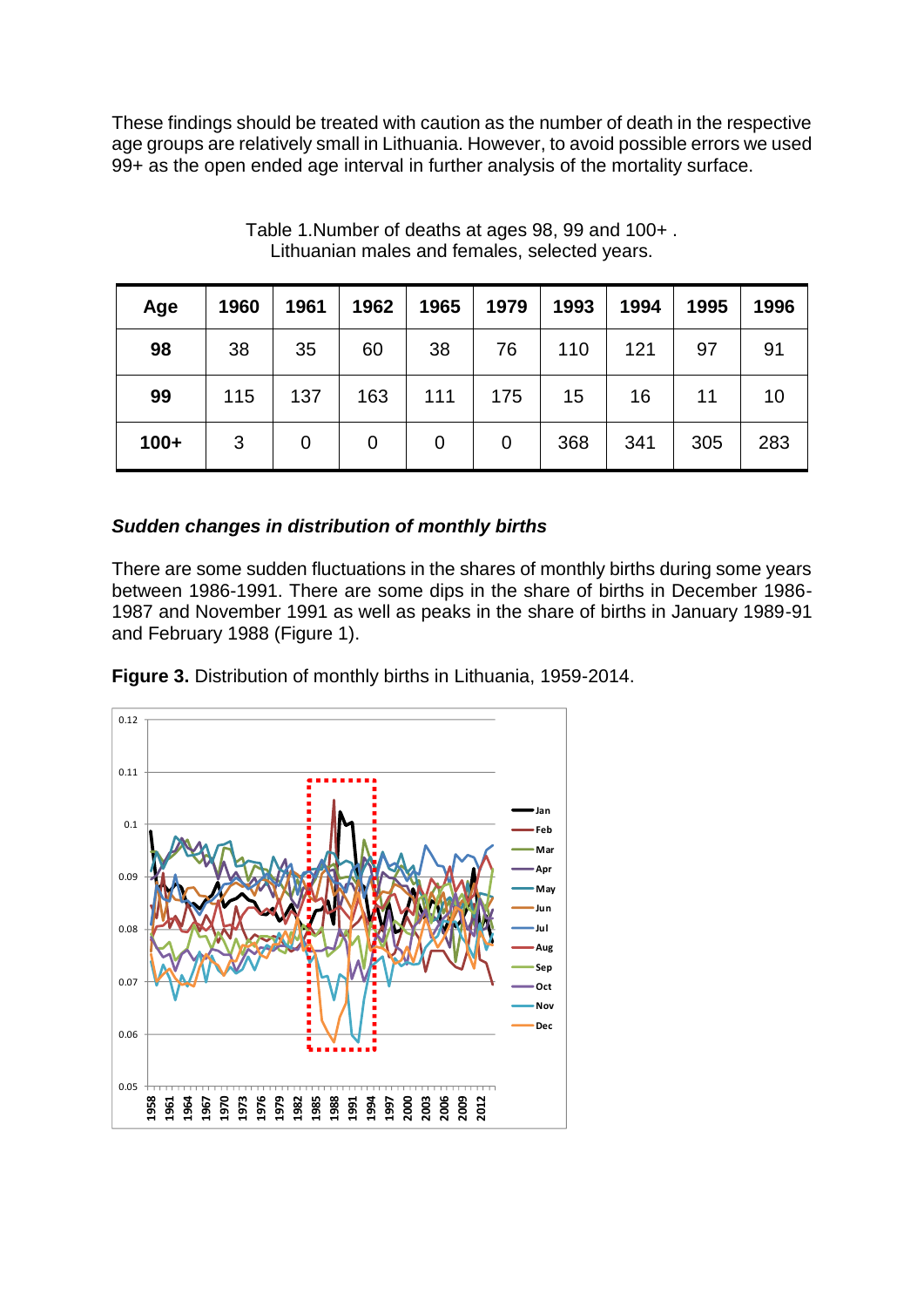These findings should be treated with caution as the number of death in the respective age groups are relatively small in Lithuania. However, to avoid possible errors we used 99+ as the open ended age interval in further analysis of the mortality surface.

| Age    | 1960 | 1961 | 1962 | 1965        | 1979 | 1993 | 1994 | 1995 | 1996 |
|--------|------|------|------|-------------|------|------|------|------|------|
| 98     | 38   | 35   | 60   | 38          | 76   | 110  | 121  | 97   | 91   |
| 99     | 115  | 137  | 163  | 111         | 175  | 15   | 16   | 11   | 10   |
| $100+$ | 3    | 0    | 0    | $\mathbf 0$ | 0    | 368  | 341  | 305  | 283  |

Table 1.Number of deaths at ages 98, 99 and 100+ . Lithuanian males and females, selected years.

#### *Sudden changes in distribution of monthly births*

There are some sudden fluctuations in the shares of monthly births during some years between 1986-1991. There are some dips in the share of births in December 1986- 1987 and November 1991 as well as peaks in the share of births in January 1989-91 and February 1988 (Figure 1).



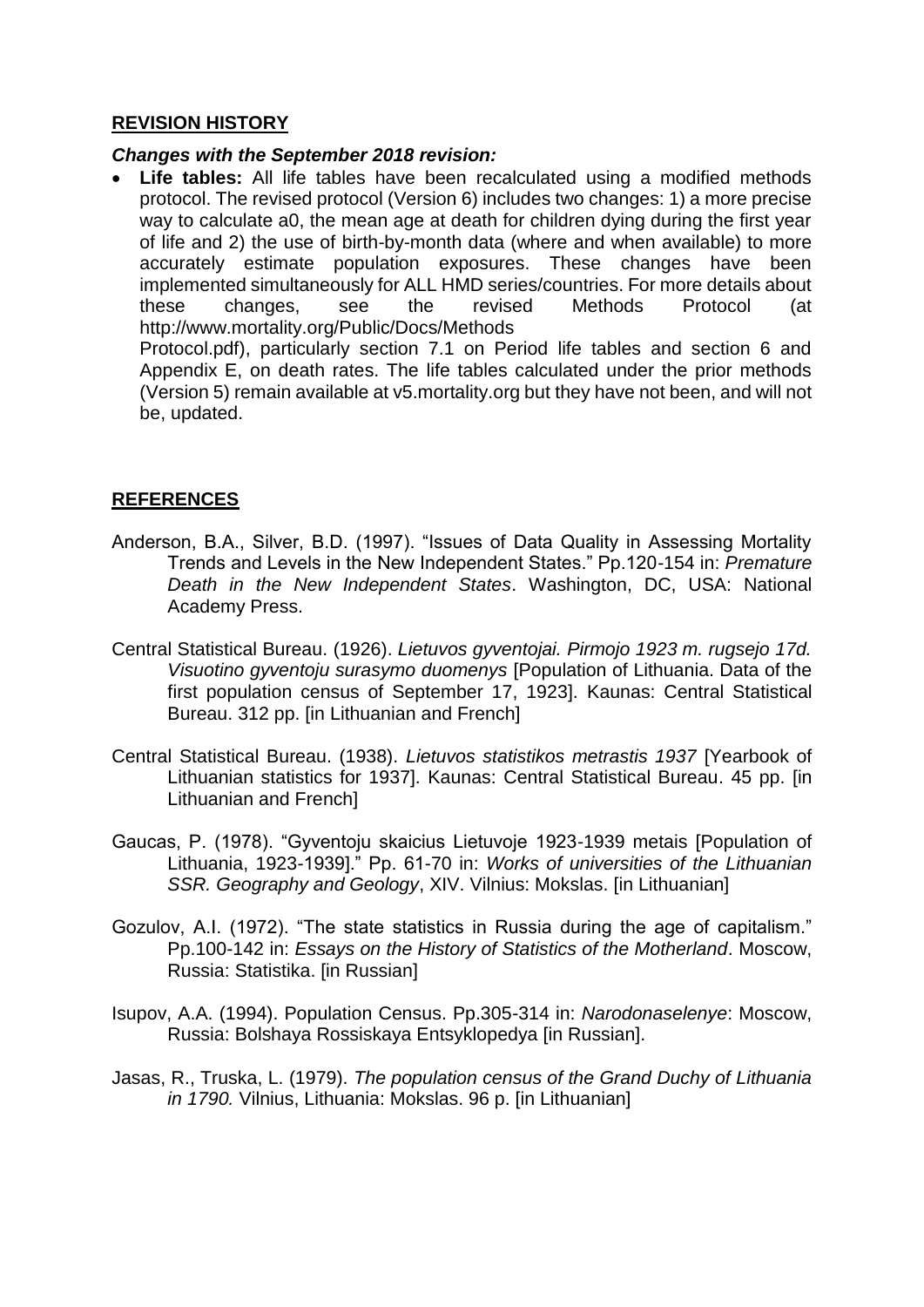#### **REVISION HISTORY**

#### *Changes with the September 2018 revision:*

• **Life tables:** All life tables have been recalculated using a modified methods protocol. The revised protocol (Version 6) includes two changes: 1) a more precise way to calculate a0, the mean age at death for children dying during the first year of life and 2) the use of birth-by-month data (where and when available) to more accurately estimate population exposures. These changes have been implemented simultaneously for ALL HMD series/countries. For more details about these changes, see the revised Methods Protocol (at http://www.mortality.org/Public/Docs/Methods Protocol.pdf), particularly section 7.1 on Period life tables and section 6 and Appendix E, on death rates. The life tables calculated under the prior methods (Version 5) remain available at v5.mortality.org but they have not been, and will not

be, updated.

#### **REFERENCES**

- Anderson, B.A., Silver, B.D. (1997). "Issues of Data Quality in Assessing Mortality Trends and Levels in the New Independent States." Pp.120-154 in: *Premature Death in the New Independent States*. Washington, DC, USA: National Academy Press.
- Central Statistical Bureau. (1926). *Lietuvos gyventojai. Pirmojo 1923 m. rugsejo 17d. Visuotino gyventoju surasymo duomenys* [Population of Lithuania. Data of the first population census of September 17, 1923]. Kaunas: Central Statistical Bureau. 312 pp. [in Lithuanian and French]
- Central Statistical Bureau. (1938). *Lietuvos statistikos metrastis 1937* [Yearbook of Lithuanian statistics for 1937]. Kaunas: Central Statistical Bureau. 45 pp. [in Lithuanian and French]
- Gaucas, P. (1978). "Gyventoju skaicius Lietuvoje 1923-1939 metais [Population of Lithuania, 1923-1939]." Pp. 61-70 in: *Works of universities of the Lithuanian SSR. Geography and Geology*, XIV. Vilnius: Mokslas. [in Lithuanian]
- Gozulov, A.I. (1972). "The state statistics in Russia during the age of capitalism." Pp.100-142 in: *Essays on the History of Statistics of the Motherland*. Moscow, Russia: Statistika. [in Russian]
- Isupov, A.A. (1994). Population Census. Pp.305-314 in: *Narodonaselenye*: Moscow, Russia: Bolshaya Rossiskaya Entsyklopedya [in Russian].
- Jasas, R., Truska, L. (1979). *The population census of the Grand Duchy of Lithuania in 1790.* Vilnius, Lithuania: Mokslas. 96 p. [in Lithuanian]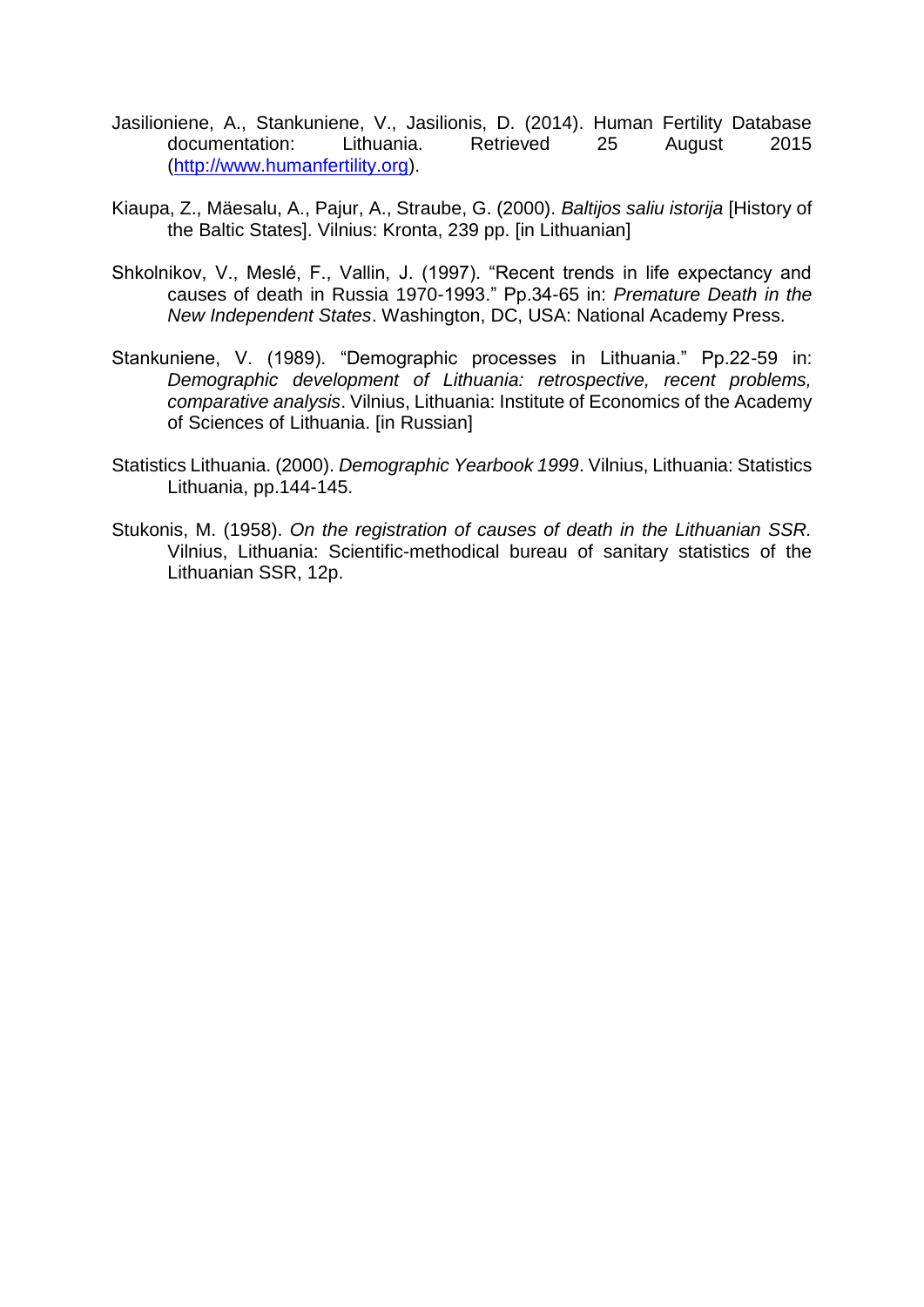- Jasilioniene, A., Stankuniene, V., Jasilionis, D. (2014). Human Fertility Database documentation: Lithuania. Retrieved 25 August 2015 [\(http://www.humanfertility.org\)](http://www.humanfertility.org/).
- Kiaupa, Z., Mäesalu, A., Pajur, A., Straube, G. (2000). *Baltijos saliu istorija* [History of the Baltic States]. Vilnius: Kronta, 239 pp. [in Lithuanian]
- Shkolnikov, V., Meslé, F., Vallin, J. (1997). "Recent trends in life expectancy and causes of death in Russia 1970-1993." Pp.34-65 in: *Premature Death in the New Independent States*. Washington, DC, USA: National Academy Press.
- Stankuniene, V. (1989). "Demographic processes in Lithuania." Pp.22-59 in: *Demographic development of Lithuania: retrospective, recent problems, comparative analysis*. Vilnius, Lithuania: Institute of Economics of the Academy of Sciences of Lithuania. [in Russian]
- Statistics Lithuania. (2000). *Demographic Yearbook 1999*. Vilnius, Lithuania: Statistics Lithuania, pp.144-145.
- Stukonis, M. (1958). *On the registration of causes of death in the Lithuanian SSR.* Vilnius, Lithuania: Scientific-methodical bureau of sanitary statistics of the Lithuanian SSR, 12p.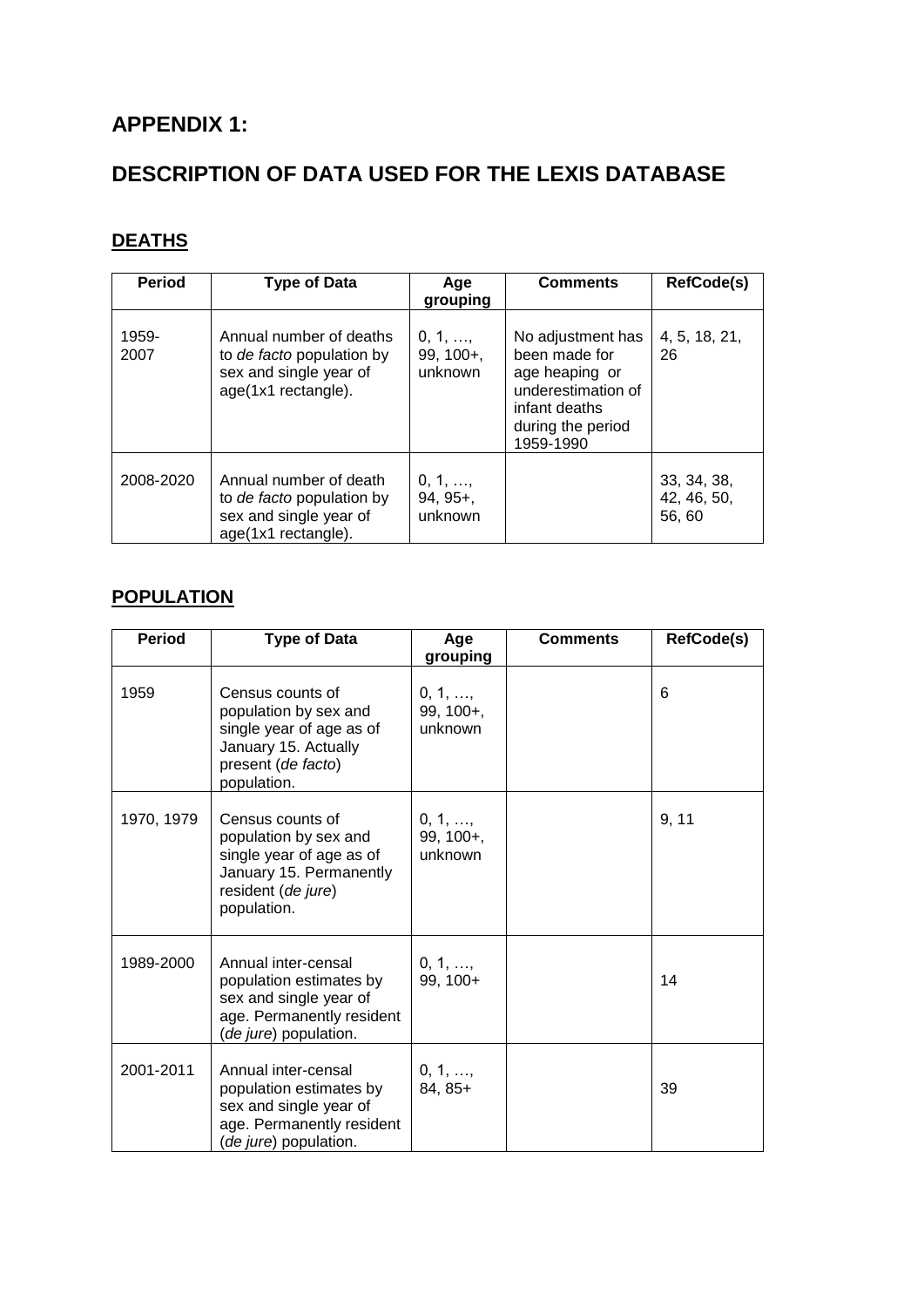# **APPENDIX 1:**

# **DESCRIPTION OF DATA USED FOR THE LEXIS DATABASE**

# **DEATHS**

| <b>Period</b> | <b>Type of Data</b>                                                                                   | Aqe<br>grouping                         | <b>Comments</b>                                                                                                               | <b>RefCode(s)</b>                   |
|---------------|-------------------------------------------------------------------------------------------------------|-----------------------------------------|-------------------------------------------------------------------------------------------------------------------------------|-------------------------------------|
| 1959-<br>2007 | Annual number of deaths<br>to de facto population by<br>sex and single year of<br>age(1x1 rectangle). | $0, 1, \ldots$<br>$99, 100+$<br>unknown | No adjustment has<br>been made for<br>age heaping or<br>underestimation of<br>infant deaths<br>during the period<br>1959-1990 | 4, 5, 18, 21,<br>26                 |
| 2008-2020     | Annual number of death<br>to de facto population by<br>sex and single year of<br>age(1x1 rectangle).  | $0, 1, \ldots$<br>$94, 95+$<br>unknown  |                                                                                                                               | 33, 34, 38,<br>42, 46, 50,<br>56,60 |

### **POPULATION**

| <b>Period</b> | <b>Type of Data</b>                                                                                                                   | Age<br>grouping                   | <b>Comments</b> | RefCode(s) |
|---------------|---------------------------------------------------------------------------------------------------------------------------------------|-----------------------------------|-----------------|------------|
| 1959          | Census counts of<br>population by sex and<br>single year of age as of<br>January 15. Actually<br>present (de facto)<br>population.    | 0, 1, ,<br>99, 100+,<br>unknown   |                 | 6          |
| 1970, 1979    | Census counts of<br>population by sex and<br>single year of age as of<br>January 15. Permanently<br>resident (de jure)<br>population. | 0, 1, ,<br>$99, 100 +$<br>unknown |                 | 9, 11      |
| 1989-2000     | Annual inter-censal<br>population estimates by<br>sex and single year of<br>age. Permanently resident<br>(de jure) population.        | 0, 1, ,<br>99, 100+               |                 | 14         |
| 2001-2011     | Annual inter-censal<br>population estimates by<br>sex and single year of<br>age. Permanently resident<br>de jure) population.         | 0, 1, ,<br>84, 85+                |                 | 39         |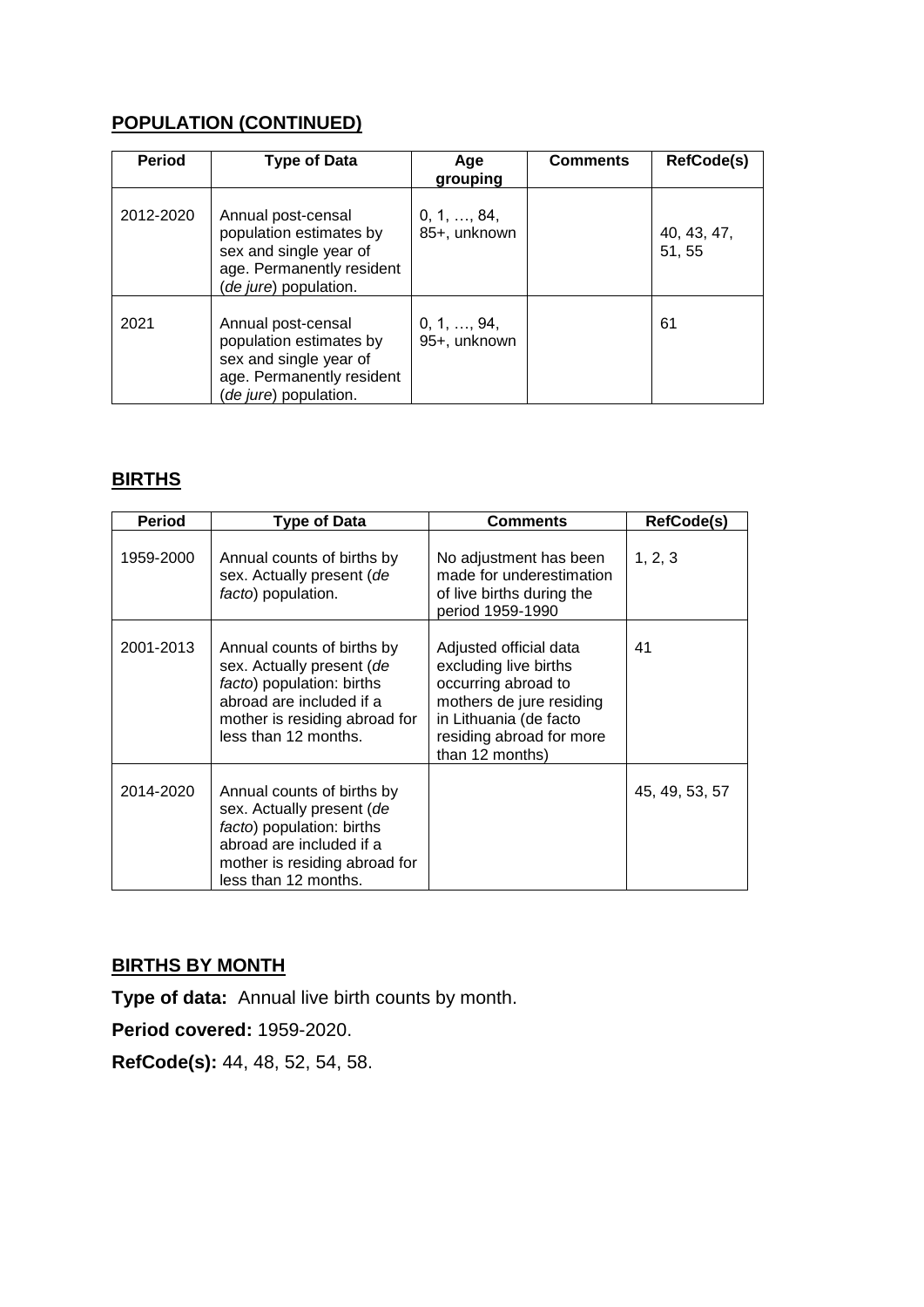# **POPULATION (CONTINUED)**

| <b>Period</b> | <b>Type of Data</b>                                                                                                                    | Age<br>grouping                     | <b>Comments</b> | <b>RefCode(s)</b>     |
|---------------|----------------------------------------------------------------------------------------------------------------------------------------|-------------------------------------|-----------------|-----------------------|
| 2012-2020     | Annual post-censal<br>population estimates by<br>sex and single year of<br>age. Permanently resident<br>( <i>de jure</i> ) population. | $0, 1, \ldots, 84,$<br>85+, unknown |                 | 40, 43, 47,<br>51, 55 |
| 2021          | Annual post-censal<br>population estimates by<br>sex and single year of<br>age. Permanently resident<br>(de jure) population.          | $0, 1, \ldots, 94,$<br>95+, unknown |                 | 61                    |

### **BIRTHS**

| <b>Period</b> | <b>Type of Data</b>                                                                                                                                                       | <b>Comments</b>                                                                                                                                                             | RefCode(s)     |
|---------------|---------------------------------------------------------------------------------------------------------------------------------------------------------------------------|-----------------------------------------------------------------------------------------------------------------------------------------------------------------------------|----------------|
| 1959-2000     | Annual counts of births by<br>sex. Actually present (de<br>facto) population.                                                                                             | No adjustment has been<br>made for underestimation<br>of live births during the<br>period 1959-1990                                                                         | 1, 2, 3        |
| 2001-2013     | Annual counts of births by<br>sex. Actually present (de<br>facto) population: births<br>abroad are included if a<br>mother is residing abroad for<br>less than 12 months. | Adjusted official data<br>excluding live births<br>occurring abroad to<br>mothers de jure residing<br>in Lithuania (de facto<br>residing abroad for more<br>than 12 months) | 41             |
| 2014-2020     | Annual counts of births by<br>sex. Actually present (de<br>facto) population: births<br>abroad are included if a<br>mother is residing abroad for<br>less than 12 months. |                                                                                                                                                                             | 45, 49, 53, 57 |

# **BIRTHS BY MONTH**

**Type of data:** Annual live birth counts by month.

**Period covered:** 1959-2020.

**RefCode(s):** 44, 48, 52, 54, 58.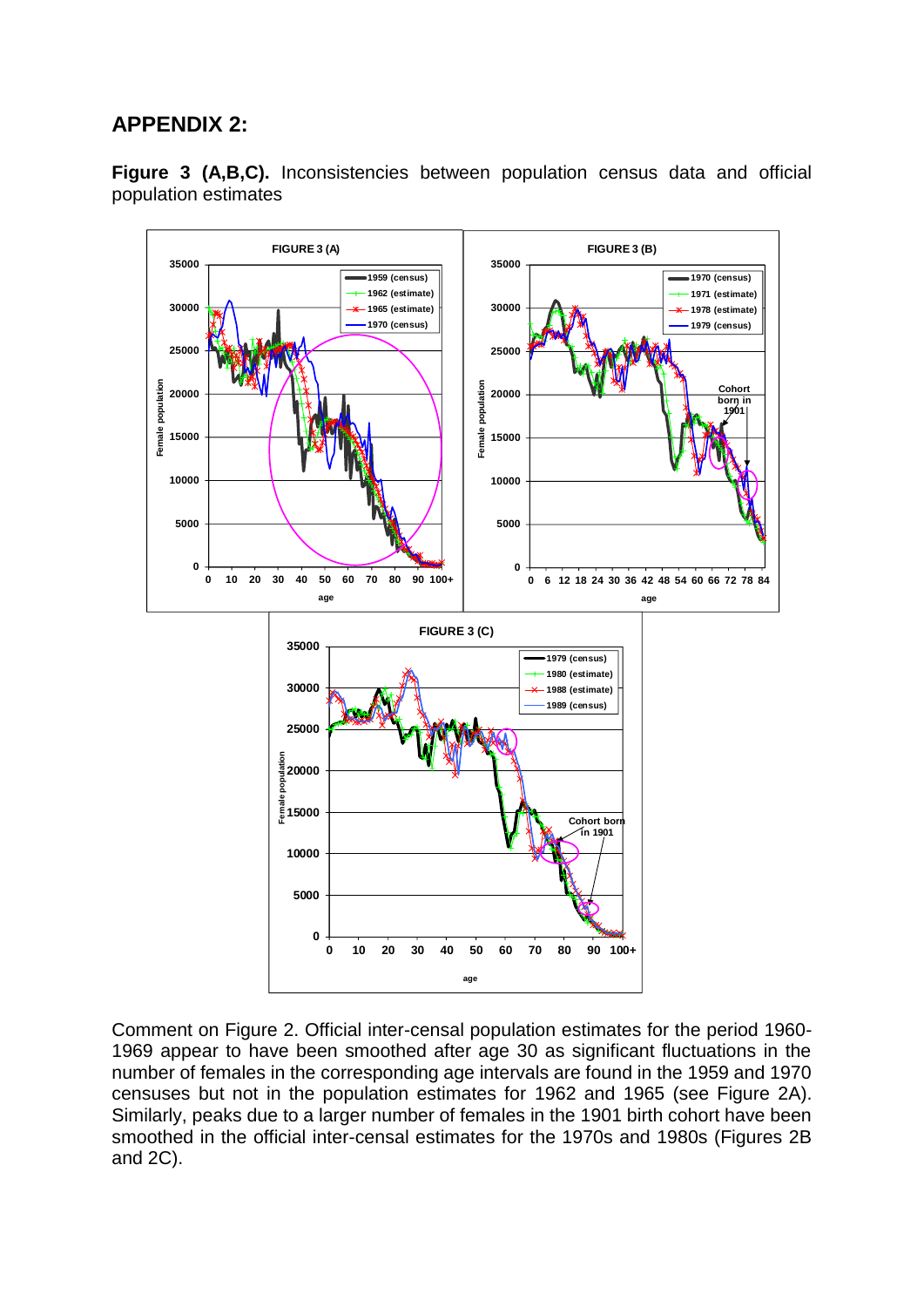# **APPENDIX 2:**



**Figure 3 (A,B,C).** Inconsistencies between population census data and official population estimates

Comment on Figure 2. Official inter-censal population estimates for the period 1960- 1969 appear to have been smoothed after age 30 as significant fluctuations in the number of females in the corresponding age intervals are found in the 1959 and 1970 censuses but not in the population estimates for 1962 and 1965 (see Figure 2A). Similarly, peaks due to a larger number of females in the 1901 birth cohort have been smoothed in the official inter-censal estimates for the 1970s and 1980s (Figures 2B and 2C).